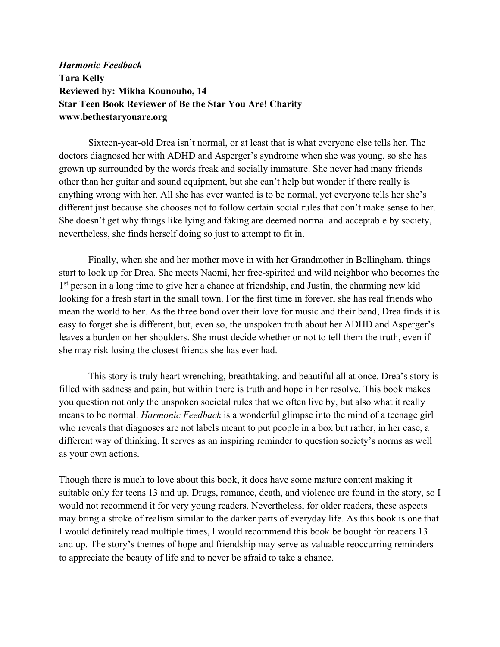*Harmonic Feedback*  **Tara Kelly Reviewed by: Mikha Kounouho, 14 Star Teen Book Reviewer of Be the Star You Are! Charity www.bethestaryouare.org**

Sixteen-year-old Drea isn't normal, or at least that is what everyone else tells her. The doctors diagnosed her with ADHD and Asperger's syndrome when she was young, so she has grown up surrounded by the words freak and socially immature. She never had many friends other than her guitar and sound equipment, but she can't help but wonder if there really is anything wrong with her. All she has ever wanted is to be normal, yet everyone tells her she's different just because she chooses not to follow certain social rules that don't make sense to her. She doesn't get why things like lying and faking are deemed normal and acceptable by society, nevertheless, she finds herself doing so just to attempt to fit in.

Finally, when she and her mother move in with her Grandmother in Bellingham, things start to look up for Drea. She meets Naomi, her free-spirited and wild neighbor who becomes the 1<sup>st</sup> person in a long time to give her a chance at friendship, and Justin, the charming new kid looking for a fresh start in the small town. For the first time in forever, she has real friends who mean the world to her. As the three bond over their love for music and their band, Drea finds it is easy to forget she is different, but, even so, the unspoken truth about her ADHD and Asperger's leaves a burden on her shoulders. She must decide whether or not to tell them the truth, even if she may risk losing the closest friends she has ever had.

This story is truly heart wrenching, breathtaking, and beautiful all at once. Drea's story is filled with sadness and pain, but within there is truth and hope in her resolve. This book makes you question not only the unspoken societal rules that we often live by, but also what it really means to be normal. *Harmonic Feedback* is a wonderful glimpse into the mind of a teenage girl who reveals that diagnoses are not labels meant to put people in a box but rather, in her case, a different way of thinking. It serves as an inspiring reminder to question society's norms as well as your own actions.

Though there is much to love about this book, it does have some mature content making it suitable only for teens 13 and up. Drugs, romance, death, and violence are found in the story, so I would not recommend it for very young readers. Nevertheless, for older readers, these aspects may bring a stroke of realism similar to the darker parts of everyday life. As this book is one that I would definitely read multiple times, I would recommend this book be bought for readers 13 and up. The story's themes of hope and friendship may serve as valuable reoccurring reminders to appreciate the beauty of life and to never be afraid to take a chance.